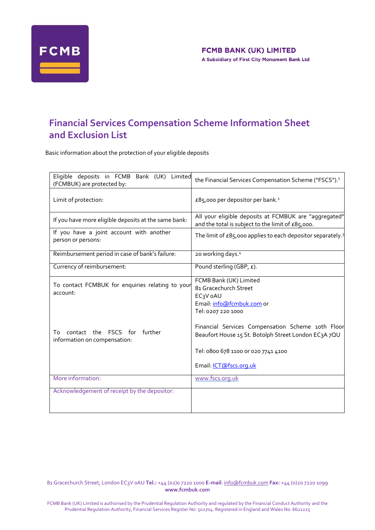

# **Financial Services Compensation Scheme Information Sheet and Exclusion List**

Basic information about the protection of your eligible deposits

| Eligible deposits in FCMB Bank (UK)<br>Limited<br>(FCMBUK) are protected by:                          | the Financial Services Compensation Scheme ("FSCS"). <sup>1</sup>                                                                                                                                                                        |
|-------------------------------------------------------------------------------------------------------|------------------------------------------------------------------------------------------------------------------------------------------------------------------------------------------------------------------------------------------|
| Limit of protection:                                                                                  | £85,000 per depositor per bank. <sup>2</sup>                                                                                                                                                                                             |
| If you have more eligible deposits at the same bank:                                                  | All your eligible deposits at FCMBUK are "aggregated"<br>and the total is subject to the limit of £85,000.                                                                                                                               |
| If you have a joint account with another<br>person or persons:                                        | The limit of $\pounds85,000$ applies to each depositor separately. <sup>3</sup>                                                                                                                                                          |
| Reimbursement period in case of bank's failure:                                                       | 20 working days. <sup>4</sup>                                                                                                                                                                                                            |
| Currency of reimbursement:                                                                            | Pound sterling (GBP, £).                                                                                                                                                                                                                 |
| To contact FCMBUK for enquiries relating to your<br>account:<br>contact the FSCS for<br>further<br>To | FCMB Bank (UK) Limited<br>81 Gracechurch Street<br>EC <sub>3</sub> V oAU<br>Email: info@fcmbuk.com or<br>Tel: 0207 220 1000<br>Financial Services Compensation Scheme 10th Floor<br>Beaufort House 15 St. Botolph Street London EC3A 7QU |
| information on compensation:                                                                          | Tel: 0800 678 1100 or 020 7741 4100<br>Email: ICT@fscs.org.uk                                                                                                                                                                            |
| More information:                                                                                     | www.fscs.org.uk                                                                                                                                                                                                                          |
| Acknowledgement of receipt by the depositor:                                                          |                                                                                                                                                                                                                                          |

81 Gracechurch Street, London EC3V 0AU **Tel.:** +44 (02)0 7220 1000 **E-mail**[: info@fcmbuk.com](mailto:info@fcmbuk.com) **Fax:** +44 (0)20 7220 1099 **[www.fcmbuk.com](http://www.fcmbuk.com/)**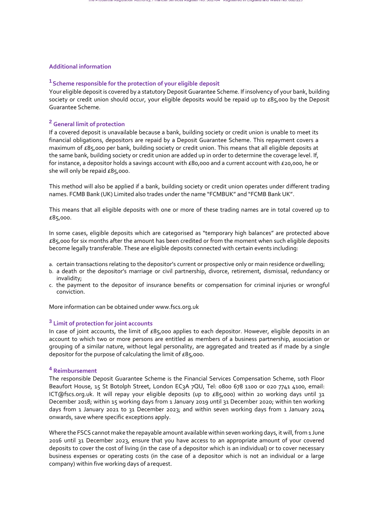## **Additional information**

## **<sup>1</sup>Scheme responsible for the protection of your eligible deposit**

Your eligible deposit is covered by a statutory Deposit Guarantee Scheme. If insolvency of your bank, building society or credit union should occur, your eligible deposits would be repaid up to  $E85,000$  by the Deposit Guarantee Scheme.

## **<sup>2</sup> General limit of protection**

If a covered deposit is unavailable because a bank, building society or credit union is unable to meet its financial obligations, depositors are repaid by a Deposit Guarantee Scheme. This repayment covers a maximum of £85,000 per bank, building society or credit union. This means that all eligible deposits at the same bank, building society or credit union are added up in order to determine the coverage level. If, for instance, a depositor holds a savings account with £80,000 and a current account with £20,000, he or she will only be repaid £85,000.

This method will also be applied if a bank, building society or credit union operates under different trading names. FCMB Bank (UK) Limited also trades under the name "FCMBUK" and "FCMB Bank UK".

This means that all eligible deposits with one or more of these trading names are in total covered up to £85,000.

In some cases, eligible deposits which are categorised as "temporary high balances" are protected above £85,000 for six months after the amount has been credited or from the moment when such eligible deposits become legally transferable. These are eligible deposits connected with certain events including:

- a. certain transactions relating to the depositor's current or prospective only or main residence ordwelling;
- b. a death or the depositor's marriage or civil partnership, divorce, retirement, dismissal, redundancy or invalidity;
- c. the payment to the depositor of insurance benefits or compensation for criminal injuries or wrongful conviction.

More information can be obtained under [www.fscs.org.uk](about:blank)

## **<sup>3</sup> Limit of protection for joint accounts**

In case of joint accounts, the limit of £85,000 applies to each depositor. However, eligible deposits in an account to which two or more persons are entitled as members of a business partnership, association or grouping of a similar nature, without legal personality, are aggregated and treated as if made by a single depositor for the purpose of calculating the limit of £85,000.

## **<sup>4</sup> Reimbursement**

The responsible Deposit Guarantee Scheme is the Financial Services Compensation Scheme, 10th Floor Beaufort House, 15 St Botolph Street, London EC3A 7QU, Te[l:](about:blank) 0800 678 1100 or 020 7741 4100, email: [ICT@fscs.org.uk. I](about:blank)t will repay your eligible deposits (up to  $E85,000$ ) within 20 working days until 31 December 2018; within 15 working days from 1 January 2019 until 31 December 2020; within ten working days from 1 January 2021 to 31 December 2023; and within seven working days from 1 January 2024 onwards, save where specific exceptions apply.

Where the FSCS cannot make the repayable amount available within seven working days, it will, from 1 June 2016 until 31 December 2023, ensure that you have access to an appropriate amount of your covered deposits to cover the cost of living (in the case of a depositor which is an individual) or to cover necessary business expenses or operating costs (in the case of a depositor which is not an individual or a large company) within five working days of arequest.